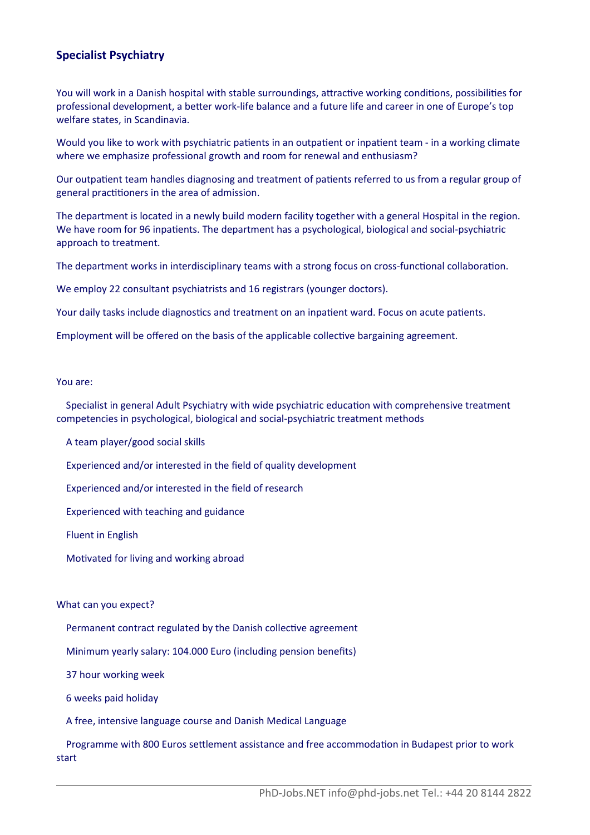## **Specialist Psychiatry**

You will work in a Danish hospital with stable surroundings, attractive working conditions, possibilities for professional development, a beter work-life balance and a future life and career in one of Europe's top welfare states, in Scandinavia.

Would you like to work with psychiatric patients in an outpatient or inpatient team - in a working climate where we emphasize professional growth and room for renewal and enthusiasm?

Our outpatient team handles diagnosing and treatment of patients referred to us from a regular group of general practitioners in the area of admission.

The department is located in a newly build modern facility together with a general Hospital in the region. We have room for 96 inpatients. The department has a psychological, biological and social-psychiatric approach to treatment.

The department works in interdisciplinary teams with a strong focus on cross-functional collaboration.

We employ 22 consultant psychiatrists and 16 registrars (younger doctors).

Your daily tasks include diagnostics and treatment on an inpatient ward. Focus on acute patients.

Employment will be ofered on the basis of the applicable collectve bargaining agreement.

## You are:

 Specialist in general Adult Psychiatry with wide psychiatric educaton with comprehensive treatment competencies in psychological, biological and social-psychiatric treatment methods

A team player/good social skills

Experienced and/or interested in the feld of quality development

Experienced and/or interested in the feld of research

Experienced with teaching and guidance

Fluent in English

Motivated for living and working abroad

## What can you expect?

Permanent contract regulated by the Danish collective agreement

Minimum yearly salary: 104.000 Euro (including pension benefts)

37 hour working week

6 weeks paid holiday

A free, intensive language course and Danish Medical Language

 Programme with 800 Euros setlement assistance and free accommodaton in Budapest prior to work start